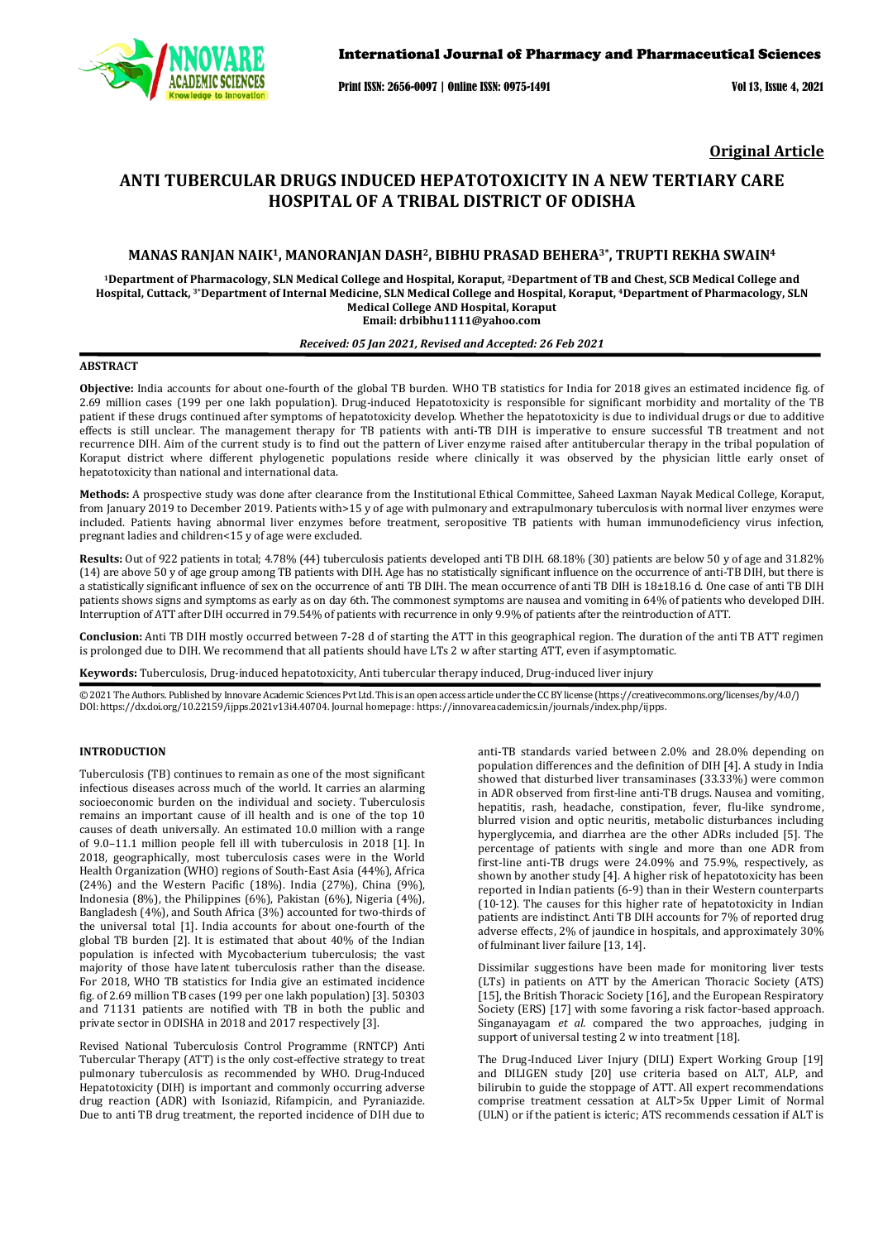

Print ISSN: 2656-0097 | Online ISSN: 0975-1491 Vol 13, Issue 4, 2021

**Original Article**

# **ANTI TUBERCULAR DRUGS INDUCED HEPATOTOXICITY IN A NEW TERTIARY CARE HOSPITAL OF A TRIBAL DISTRICT OF ODISHA**

# **MANAS RANJAN NAIK1, MANORANJAN DASH2, BIBHU PRASAD BEHERA3\*, TRUPTI REKHA SWAIN4**

**1Department of Pharmacology, SLN Medical College and Hospital, Koraput, 2Department of TB and Chest, SCB Medical College and Hospital, Cuttack, 3\*Department of Internal Medicine, SLN Medical College and Hospital, Koraput, 4Department of Pharmacology, SLN Medical College AND Hospital, Koraput Email[: drbibhu1111@yahoo.com](mailto:drbibhu1111@yahoo.com)**

## *Received: 05 Jan 2021, Revised and Accepted: 26 Feb 2021*

# **ABSTRACT**

**Objective:** India accounts for about one-fourth of the global TB burden. WHO TB statistics for India for 2018 gives an estimated incidence fig. of 2.69 million cases (199 per one lakh population). Drug-induced Hepatotoxicity is responsible for significant morbidity and mortality of the TB patient if these drugs continued after symptoms of hepatotoxicity develop. Whether the hepatotoxicity is due to individual drugs or due to additive effects is still unclear. The management therapy for TB patients with anti-TB DIH is imperative to ensure successful TB treatment and not recurrence DIH. Aim of the current study is to find out the pattern of Liver enzyme raised after antitubercular therapy in the tribal population of Koraput district where different phylogenetic populations reside where clinically it was observed by the physician little early onset of hepatotoxicity than national and international data.

**Methods:** A prospective study was done after clearance from the Institutional Ethical Committee, Saheed Laxman Nayak Medical College, Koraput, from January 2019 to December 2019. Patients with>15 y of age with pulmonary and extrapulmonary tuberculosis with normal liver enzymes were included. Patients having abnormal liver enzymes before treatment, seropositive TB patients with human immunodeficiency virus infection, pregnant ladies and children<15 y of age were excluded.

**Results:** Out of 922 patients in total; 4.78% (44) tuberculosis patients developed anti TB DIH. 68.18% (30) patients are below 50 y of age and 31.82% (14) are above 50 y of age group among TB patients with DIH. Age has no statistically significant influence on the occurrence of anti-TB DIH, but there is a statistically significant influence of sex on the occurrence of anti TB DIH. The mean occurrence of anti TB DIH is 18±18.16 d. One case of anti TB DIH patients shows signs and symptoms as early as on day 6th. The commonest symptoms are nausea and vomiting in 64% of patients who developed DIH. Interruption of ATT after DIH occurred in 79.54% of patients with recurrence in only 9.9% of patients after the reintroduction of ATT.

**Conclusion:** Anti TB DIH mostly occurred between 7-28 d of starting the ATT in this geographical region. The duration of the anti TB ATT regimen is prolonged due to DIH. We recommend that all patients should have LTs 2 w after starting ATT, even if asymptomatic.

**Keywords:** Tuberculosis, Drug-induced hepatotoxicity, Anti tubercular therapy induced, Drug-induced liver injury

© 2021 The Authors. Published by Innovare Academic Sciences Pvt Ltd. This is an open access article under the CC BY license [\(https://creativecommons.org/licenses/by/4.0/\)](https://creativecommons.org/licenses/by/4.0/) DOI: https://dx.doi.org/10.22159/ijpps.2021v13i4.40704. Journal homepage[: https://innovareacademics.in/journals/index.php/ijpps.](https://innovareacademics.in/journals/index.php/ijpps) 

# **INTRODUCTION**

Tuberculosis (TB) continues to remain as one of the most significant infectious diseases across much of the world. It carries an alarming socioeconomic burden on the individual and society. Tuberculosis remains an important cause of ill health and is one of the top 10 causes of death universally. An estimated 10.0 million with a range of 9.0–11.1 million people fell ill with tuberculosis in 2018 [1]. In 2018, geographically, most tuberculosis cases were in the World Health Organization (WHO) regions of South-East Asia (44%), Africa (24%) and the Western Pacific (18%). India (27%), China (9%), Indonesia (8%), the Philippines (6%), Pakistan (6%), Nigeria (4%), Bangladesh (4%), and South Africa (3%) accounted for two-thirds of the universal total [1]. India accounts for about one-fourth of the global TB burden [2]. It is estimated that about 40% of the Indian population is infected with Mycobacterium tuberculosis; the vast majority of those have latent [tuberculosis](https://tbfacts.org/latent-tb/) rather than the [disease.](https://tbfacts.org/tb/)  For 2018, WHO TB statistics for India give an estimated incidence fig. of 2.69 million TB cases (199 per one lakh population) [3]. 50303 and 71131 patients are notified with TB in both the public and private sector in ODISHA in 2018 and 2017 respectively [3].

Revised National Tuberculosis Control Programme (RNTCP) Anti Tubercular Therapy (ATT) is the only cost-effective strategy to treat pulmonary tuberculosis as recommended by WHO. Drug-Induced Hepatotoxicity (DIH) is important and commonly occurring adverse drug reaction (ADR) with Isoniazid, Rifampicin, and Pyraniazide. Due to anti TB drug treatment, the reported incidence of DIH due to anti-TB standards varied between 2.0% and 28.0% depending on population differences and the definition of DIH [4]. A study in India showed that disturbed liver transaminases (33.33%) were common in ADR observed from first-line anti-TB drugs. Nausea and vomiting, hepatitis, rash, headache, constipation, fever, flu-like syndrome, blurred vision and optic neuritis, metabolic disturbances including hyperglycemia, and diarrhea are the other ADRs included [5]. The percentage of patients with single and more than one ADR from first-line anti-TB drugs were 24.09% and 75.9%, respectively, as shown by another study [4]. A higher risk of hepatotoxicity has been reported in Indian patients (6-9) than in their Western counterparts (10-12). The causes for this higher rate of hepatotoxicity in Indian patients are indistinct. Anti TB DIH accounts for 7% of reported drug adverse effects, 2% of jaundice in hospitals, and approximately 30% of fulminant liver failure [13, 14].

Dissimilar suggestions have been made for monitoring liver tests (LTs) in patients on ATT by the American Thoracic Society (ATS) [15], the British Thoracic Society [16], and the European Respiratory Society (ERS) [17] with some favoring a risk factor-based approach. Singanayagam *et al.* compared the two approaches, judging in support of universal testing 2 w into treatment [18].

The Drug-Induced Liver Injury (DILI) Expert Working Group [19] and DILIGEN study [20] use criteria based on ALT, ALP, and bilirubin to guide the stoppage of ATT. All expert recommendations comprise treatment cessation at ALT>5x Upper Limit of Normal (ULN) or if the patient is icteric; ATS recommends cessation if ALT is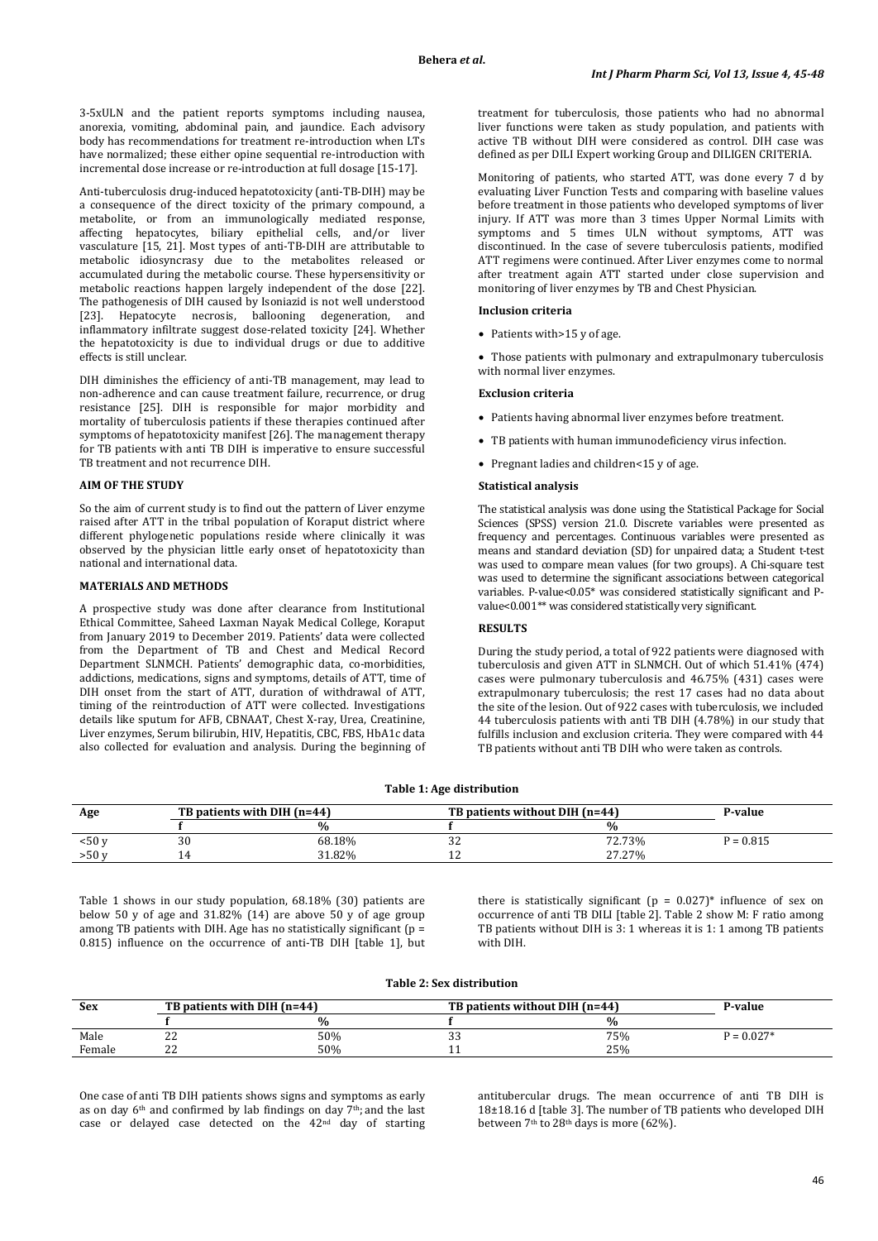3-5xULN and the patient reports symptoms including nausea, anorexia, vomiting, abdominal pain, and jaundice. Each advisory body has recommendations for treatment re-introduction when LTs have normalized; these either opine sequential re-introduction with incremental dose increase or re-introduction at full dosage [15-17].

Anti-tuberculosis drug-induced hepatotoxicity (anti-TB-DIH) may be a consequence of the direct toxicity of the primary compound, a metabolite, or from an immunologically mediated response, affecting hepatocytes, biliary epithelial cells, and/or liver vasculature [15, 21]. Most types of anti-TB-DIH are attributable to metabolic idiosyncrasy due to the metabolites released or accumulated during the metabolic course. These hypersensitivity or metabolic reactions happen largely independent of the dose [22]. The pathogenesis of DIH caused by Isoniazid is not well understood [23]. Hepatocyte necrosis, ballooning degeneration, and inflammatory infiltrate suggest dose-related toxicity [24]. Whether the hepatotoxicity is due to individual drugs or due to additive effects is still unclear.

DIH diminishes the efficiency of anti-TB management, may lead to non-adherence and can cause treatment failure, recurrence, or drug resistance [25]. DIH is responsible for major morbidity and mortality of tuberculosis patients if these therapies continued after symptoms of hepatotoxicity manifest [26]. The management therapy for TB patients with anti TB DIH is imperative to ensure successful TB treatment and not recurrence DIH.

# **AIM OF THE STUDY**

So the aim of current study is to find out the pattern of Liver enzyme raised after ATT in the tribal population of Koraput district where different phylogenetic populations reside where clinically it was observed by the physician little early onset of hepatotoxicity than national and international data.

## **MATERIALS AND METHODS**

A prospective study was done after clearance from Institutional Ethical Committee, Saheed Laxman Nayak Medical College, Koraput from January 2019 to December 2019. Patients' data were collected from the Department of TB and Chest and Medical Record Department SLNMCH. Patients' demographic data, co-morbidities, addictions, medications, signs and symptoms, details of ATT, time of DIH onset from the start of ATT, duration of withdrawal of ATT, timing of the reintroduction of ATT were collected. Investigations details like sputum for AFB, CBNAAT, Chest X-ray, Urea, Creatinine, Liver enzymes, Serum bilirubin, HIV, Hepatitis, CBC, FBS, HbA1c data also collected for evaluation and analysis. During the beginning of treatment for tuberculosis, those patients who had no abnormal liver functions were taken as study population, and patients with active TB without DIH were considered as control. DIH case was defined as per DILI Expert working Group and DILIGEN CRITERIA.

Monitoring of patients, who started ATT, was done every 7 d by evaluating Liver Function Tests and comparing with baseline values before treatment in those patients who developed symptoms of liver injury. If ATT was more than 3 times Upper Normal Limits with symptoms and 5 times ULN without symptoms, ATT was discontinued. In the case of severe tuberculosis patients, modified ATT regimens were continued. After Liver enzymes come to normal after treatment again ATT started under close supervision and monitoring of liver enzymes by TB and Chest Physician.

## **Inclusion criteria**

• Patients with > 15 y of age.

• Those patients with pulmonary and extrapulmonary tuberculosis with normal liver enzymes.

## **Exclusion criteria**

- Patients having abnormal liver enzymes before treatment.
- TB patients with human immunodeficiency virus infection.
- Pregnant ladies and children<15 y of age.

#### **Statistical analysis**

The statistical analysis was done using the Statistical Package for Social Sciences (SPSS) version 21.0. Discrete variables were presented as frequency and percentages. Continuous variables were presented as means and standard deviation (SD) for unpaired data; a Student t-test was used to compare mean values (for two groups). A Chi-square test was used to determine the significant associations between categorical variables. P-value<0.05\* was considered statistically significant and Pvalue<0.001\*\* was considered statistically very significant.

### **RESULTS**

During the study period, a total of 922 patients were diagnosed with tuberculosis and given ATT in SLNMCH. Out of which 51.41% (474) cases were pulmonary tuberculosis and 46.75% (431) cases were extrapulmonary tuberculosis; the rest 17 cases had no data about the site of the lesion. Out of 922 cases with tuberculosis, we included 44 tuberculosis patients with anti TB DIH (4.78%) in our study that fulfills inclusion and exclusion criteria. They were compared with 44 TB patients without anti TB DIH who were taken as controls.

#### **Table 1: Age distribution**

| Age    | TB patients with DIH (n=44) |               |     | TB patients without DIH (n=44) |             |  |
|--------|-----------------------------|---------------|-----|--------------------------------|-------------|--|
|        |                             | $\frac{9}{6}$ |     | %                              |             |  |
| < 50 v | 30                          | 68.18%        | ے ت | 72.73%                         | $P = 0.815$ |  |
| >50v   |                             | 31.82%        | ᅩ   | 27.27%                         |             |  |

Table 1 shows in our study population, 68.18% (30) patients are below 50 y of age and 31.82% (14) are above 50 y of age group among TB patients with DIH. Age has no statistically significant (p = 0.815) influence on the occurrence of anti-TB DIH [table 1], but

there is statistically significant  $(p = 0.027)^*$  influence of sex on occurrence of anti TB DILI [table 2]. Table 2 show M: F ratio among TB patients without DIH is 3: 1 whereas it is 1: 1 among TB patients with DIH.

#### **Table 2: Sex distribution**

| <b>Sex</b> | TB patients with DIH (n=44) |      | TB patients without DIH (n=44) |      | P-value      |
|------------|-----------------------------|------|--------------------------------|------|--------------|
|            |                             | $\%$ |                                | $\%$ |              |
| Male       | $\sim$<br>▵                 | 50%  | $\sim$<br>- ບ ບ                | 75%  | $P = 0.027*$ |
| Female     | ~~<br>▵                     | 50%  | . .                            | 25%  |              |

One case of anti TB DIH patients shows signs and symptoms as early as on day  $6<sup>th</sup>$  and confirmed by lab findings on day  $7<sup>th</sup>$ ; and the last case or delayed case detected on the 42nd day of starting antitubercular drugs. The mean occurrence of anti TB DIH is 18±18.16 d [table 3]. The number of TB patients who developed DIH between 7<sup>th</sup> to 28<sup>th</sup> days is more (62%).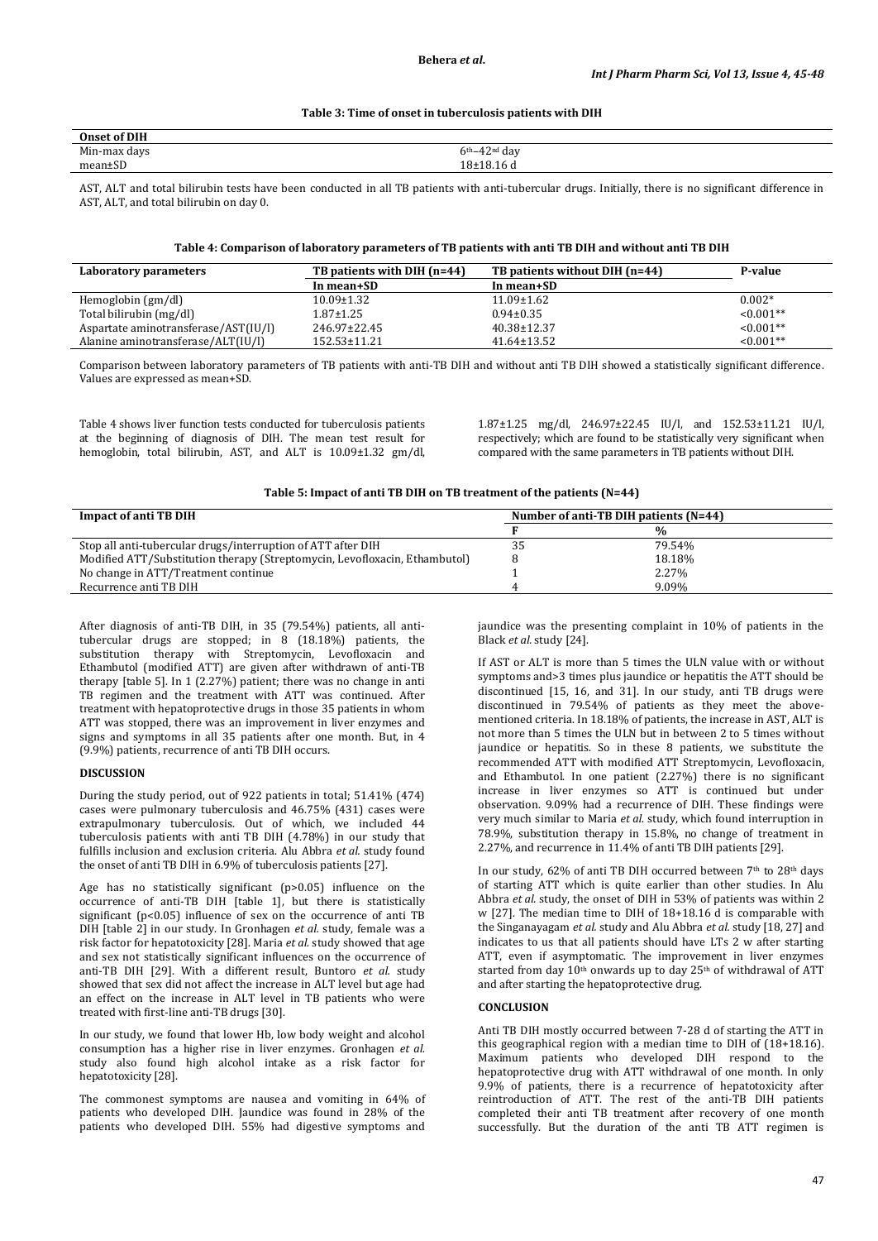## **Table 3: Time of onset in tuberculosis patients with DIH**

| of DIH<br>Onset |                   |
|-----------------|-------------------|
| Min-max days    | $6th-42nd$<br>day |
| $\sim$<br>mean± | $18 + 18.1$       |
|                 |                   |

AST, ALT and total bilirubin tests have been conducted in all TB patients with anti-tubercular drugs. Initially, there is no significant difference in AST, ALT, and total bilirubin on day 0.

# **Table 4: Comparison of laboratory parameters of TB patients with anti TB DIH and without anti TB DIH**

| Laboratory parameters                | TB patients with DIH (n=44) | TB patients without DIH (n=44) | P-value     |
|--------------------------------------|-----------------------------|--------------------------------|-------------|
|                                      | In mean+SD                  | In mean+SD                     |             |
| Hemoglobin (gm/dl)                   | $10.09 \pm 1.32$            | $11.09 \pm 1.62$               | $0.002*$    |
| Total bilirubin (mg/dl)              | $1.87 \pm 1.25$             | $0.94 \pm 0.35$                | $< 0.001**$ |
| Aspartate aminotransferase/AST(IU/I) | 246.97±22.45                | $40.38 \pm 12.37$              | $< 0.001**$ |
| Alanine aminotransferase/ALT(IU/l)   | 152.53±11.21                | $41.64 \pm 13.52$              | $< 0.001**$ |

Comparison between laboratory parameters of TB patients with anti-TB DIH and without anti TB DIH showed a statistically significant difference. Values are expressed as mean+SD.

Table 4 shows liver function tests conducted for tuberculosis patients at the beginning of diagnosis of DIH. The mean test result for hemoglobin, total bilirubin, AST, and ALT is 10.09±1.32 gm/dl,

1.87±1.25 mg/dl, 246.97±22.45 IU/l, and 152.53±11.21 IU/l, respectively; which are found to be statistically very significant when compared with the same parameters in TB patients without DIH.

# **Table 5: Impact of anti TB DIH on TB treatment of the patients (N=44)**

| <b>Impact of anti TB DIH</b>                                               | Number of anti-TB DIH patients (N=44) |        |  |
|----------------------------------------------------------------------------|---------------------------------------|--------|--|
|                                                                            |                                       | %      |  |
| Stop all anti-tubercular drugs/interruption of ATT after DIH               | 35                                    | 79.54% |  |
| Modified ATT/Substitution therapy (Streptomycin, Levofloxacin, Ethambutol) |                                       | 18.18% |  |
| No change in ATT/Treatment continue                                        |                                       | 2.27%  |  |
| Recurrence anti TB DIH                                                     |                                       | 9.09%  |  |

After diagnosis of anti-TB DIH, in 35 (79.54%) patients, all antitubercular drugs are stopped; in 8 (18.18%) patients, the substitution therapy with Streptomycin, Levofloxacin and Ethambutol (modified ATT) are given after withdrawn of anti-TB therapy [table 5]. In 1 (2.27%) patient; there was no change in anti TB regimen and the treatment with ATT was continued. After treatment with hepatoprotective drugs in those 35 patients in whom ATT was stopped, there was an improvement in liver enzymes and signs and symptoms in all 35 patients after one month. But, in 4 (9.9%) patients, recurrence of anti TB DIH occurs.

### **DISCUSSION**

During the study period, out of 922 patients in total; 51.41% (474) cases were pulmonary tuberculosis and 46.75% (431) cases were extrapulmonary tuberculosis. Out of which, we included 44 tuberculosis patients with anti TB DIH (4.78%) in our study that fulfills inclusion and exclusion criteria. Alu Abbra *et al.* study found the onset of anti TB DIH in 6.9% of tuberculosis patients [27].

Age has no statistically significant (p>0.05) influence on the occurrence of anti-TB DIH [table 1], but there is statistically significant ( $p < 0.05$ ) influence of sex on the occurrence of anti TB DIH [table 2] in our study. In Gronhagen *et al.* study, female was a risk factor for hepatotoxicity [28]. Maria *et al.* study showed that age and sex not statistically significant influences on the occurrence of anti-TB DIH [29]. With a different result, Buntoro *et al.* study showed that sex did not affect the increase in ALT level but age had an effect on the increase in ALT level in TB patients who were treated with first-line anti-TB drugs [30].

In our study, we found that lower Hb, low body weight and alcohol consumption has a higher rise in liver enzymes. Gronhagen *et al.* study also found high alcohol intake as a risk factor for hepatotoxicity [28].

The commonest symptoms are nausea and vomiting in 64% of patients who developed DIH. Jaundice was found in 28% of the patients who developed DIH. 55% had digestive symptoms and

jaundice was the presenting complaint in 10% of patients in the Black *et al.* study [24].

If AST or ALT is more than 5 times the ULN value with or without symptoms and>3 times plus jaundice or hepatitis the ATT should be discontinued [15, 16, and 31]. In our study, anti TB drugs were discontinued in 79.54% of patients as they meet the abovementioned criteria. In 18.18% of patients, the increase in AST, ALT is not more than 5 times the ULN but in between 2 to 5 times without jaundice or hepatitis. So in these 8 patients, we substitute the recommended ATT with modified ATT Streptomycin, Levofloxacin, and Ethambutol. In one patient (2.27%) there is no significant increase in liver enzymes so ATT is continued but under observation. 9.09% had a recurrence of DIH. These findings were very much similar to Maria *et al.* study, which found interruption in 78.9%, substitution therapy in 15.8%, no change of treatment in 2.27%, and recurrence in 11.4% of anti TB DIH patients [29].

In our study,  $62\%$  of anti TB DIH occurred between  $7<sup>th</sup>$  to  $28<sup>th</sup>$  days of starting ATT which is quite earlier than other studies. In Alu Abbra *et al.* study, the onset of DIH in 53% of patients was within 2 w [27]. The median time to DIH of 18+18.16 d is comparable with the Singanayagam *et al.* study and Alu Abbra *et al.* study [18, 27] and indicates to us that all patients should have LTs 2 w after starting ATT, even if asymptomatic. The improvement in liver enzymes started from day 10<sup>th</sup> onwards up to day 25<sup>th</sup> of withdrawal of ATT and after starting the hepatoprotective drug.

# **CONCLUSION**

Anti TB DIH mostly occurred between 7-28 d of starting the ATT in this geographical region with a median time to DIH of  $(18+18.16)$ . Maximum patients who developed DIH respond to the hepatoprotective drug with ATT withdrawal of one month. In only 9.9% of patients, there is a recurrence of hepatotoxicity after reintroduction of ATT. The rest of the anti-TB DIH patients completed their anti TB treatment after recovery of one month successfully. But the duration of the anti TB ATT regimen is